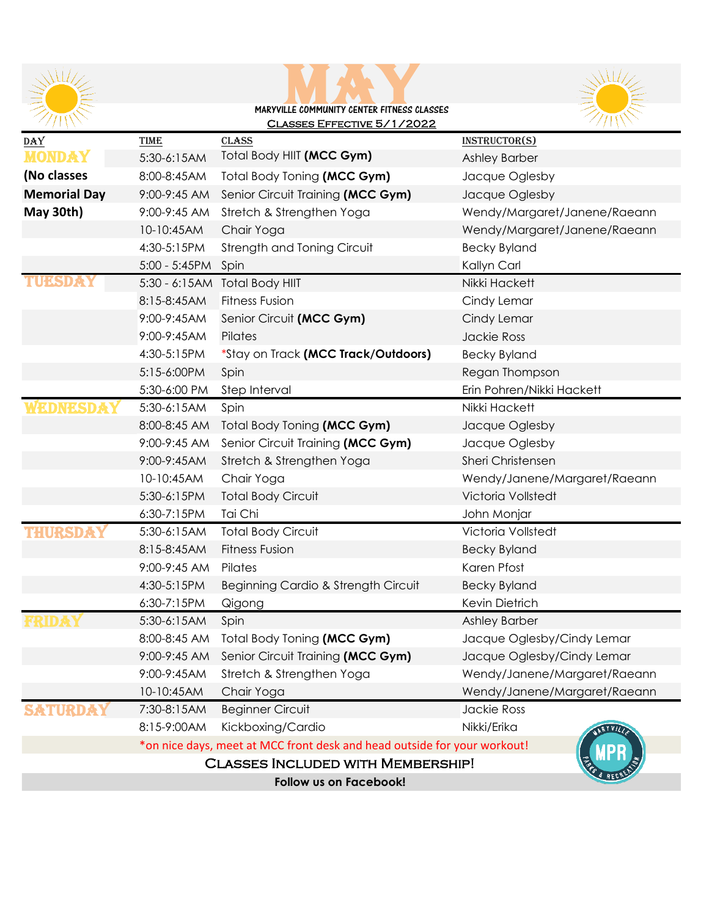





| DAY                                      | TIME                                                                     | <b>CLASS</b>                        | INSTRUCTOR(S)                |
|------------------------------------------|--------------------------------------------------------------------------|-------------------------------------|------------------------------|
| <b>MONDAY</b>                            | 5:30-6:15AM                                                              | Total Body HIIT (MCC Gym)           | Ashley Barber                |
| (No classes                              | 8:00-8:45AM                                                              | Total Body Toning (MCC Gym)         | Jacque Oglesby               |
| <b>Memorial Day</b>                      | 9:00-9:45 AM                                                             | Senior Circuit Training (MCC Gym)   | Jacque Oglesby               |
| May 30th)                                | 9:00-9:45 AM                                                             | Stretch & Strengthen Yoga           | Wendy/Margaret/Janene/Raeann |
|                                          | 10-10:45AM                                                               | Chair Yoga                          | Wendy/Margaret/Janene/Raeann |
|                                          | 4:30-5:15PM                                                              | Strength and Toning Circuit         | <b>Becky Byland</b>          |
|                                          | $5:00 - 5:45PM$                                                          | Spin                                | Kallyn Carl                  |
| TUBSDE                                   |                                                                          | 5:30 - 6:15AM Total Body HIIT       | Nikki Hackett                |
|                                          | 8:15-8:45AM                                                              | <b>Fitness Fusion</b>               | Cindy Lemar                  |
|                                          | 9:00-9:45AM                                                              | Senior Circuit (MCC Gym)            | Cindy Lemar                  |
|                                          | 9:00-9:45AM                                                              | Pilates                             | Jackie Ross                  |
|                                          | 4:30-5:15PM                                                              | *Stay on Track (MCC Track/Outdoors) | <b>Becky Byland</b>          |
|                                          | 5:15-6:00PM                                                              | Spin                                | Regan Thompson               |
|                                          | 5:30-6:00 PM                                                             | Step Interval                       | Erin Pohren/Nikki Hackett    |
|                                          | 5:30-6:15AM                                                              | Spin                                | Nikki Hackett                |
|                                          | 8:00-8:45 AM                                                             | Total Body Toning (MCC Gym)         | Jacque Oglesby               |
|                                          | 9:00-9:45 AM                                                             | Senior Circuit Training (MCC Gym)   | Jacque Oglesby               |
|                                          | 9:00-9:45AM                                                              | Stretch & Strengthen Yoga           | Sheri Christensen            |
|                                          | 10-10:45AM                                                               | Chair Yoga                          | Wendy/Janene/Margaret/Raeann |
|                                          | 5:30-6:15PM                                                              | <b>Total Body Circuit</b>           | Victoria Vollstedt           |
|                                          | 6:30-7:15PM                                                              | Tai Chi                             | John Monjar                  |
|                                          | 5:30-6:15AM                                                              | <b>Total Body Circuit</b>           | Victoria Vollstedt           |
|                                          | 8:15-8:45AM                                                              | <b>Fitness Fusion</b>               | <b>Becky Byland</b>          |
|                                          | 9:00-9:45 AM                                                             | Pilates                             | Karen Pfost                  |
|                                          | 4:30-5:15PM                                                              | Beginning Cardio & Strength Circuit | <b>Becky Byland</b>          |
|                                          | 6:30-7:15PM                                                              | Qigong                              | Kevin Dietrich               |
|                                          | 5:30-6:15AM                                                              | Spin                                | Ashley Barber                |
|                                          | 8:00-8:45 AM                                                             | Total Body Toning (MCC Gym)         | Jacque Oglesby/Cindy Lemar   |
|                                          | 9:00-9:45 AM                                                             | Senior Circuit Training (MCC Gym)   | Jacque Oglesby/Cindy Lemar   |
|                                          | 9:00-9:45AM                                                              | Stretch & Strengthen Yoga           | Wendy/Janene/Margaret/Raeann |
|                                          | 10-10:45AM                                                               | Chair Yoga                          | Wendy/Janene/Margaret/Raeann |
|                                          | 7:30-8:15AM                                                              | <b>Beginner Circuit</b>             | Jackie Ross                  |
|                                          | 8:15-9:00AM                                                              | Kickboxing/Cardio                   | Nikki/Erika<br>ERY VILT      |
|                                          | *on nice days, meet at MCC front desk and head outside for your workout! |                                     |                              |
| <b>CLASSES INCLUDED WITH MEMBERSHIP!</b> |                                                                          |                                     |                              |
| Follow us on Facebook!                   |                                                                          |                                     |                              |